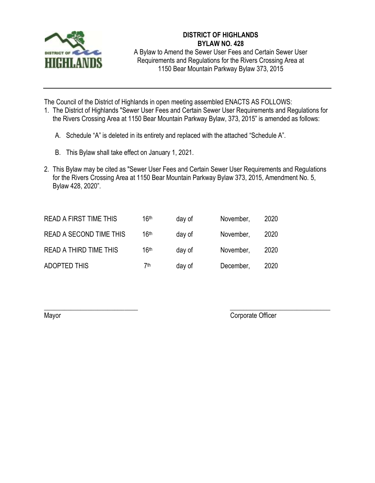

## **DISTRICT OF HIGHLANDS BYLAW NO. 428**

A Bylaw to Amend the Sewer User Fees and Certain Sewer User Requirements and Regulations for the Rivers Crossing Area at 1150 Bear Mountain Parkway Bylaw 373, 2015

The Council of the District of Highlands in open meeting assembled ENACTS AS FOLLOWS:

- 1. The District of Highlands "Sewer User Fees and Certain Sewer User Requirements and Regulations for the Rivers Crossing Area at 1150 Bear Mountain Parkway Bylaw, 373, 2015" is amended as follows:
	- A. Schedule "A" is deleted in its entirety and replaced with the attached "Schedule A".
	- B. This Bylaw shall take effect on January 1, 2021.
- 2. This Bylaw may be cited as "Sewer User Fees and Certain Sewer User Requirements and Regulations for the Rivers Crossing Area at 1150 Bear Mountain Parkway Bylaw 373, 2015, Amendment No. 5, Bylaw 428, 2020".

 $\overline{\phantom{a}}$  , and the contract of the contract of the contract of the contract of the contract of the contract of the contract of the contract of the contract of the contract of the contract of the contract of the contrac

| <b>READ A FIRST TIME THIS</b>  | 16th | day of | November, | 2020 |
|--------------------------------|------|--------|-----------|------|
| <b>READ A SECOND TIME THIS</b> | 16th | day of | November, | 2020 |
| <b>READ A THIRD TIME THIS</b>  | 16th | day of | November, | 2020 |
| <b>ADOPTED THIS</b>            | 7th  | day of | December, | 2020 |

Mayor Corporate Officer